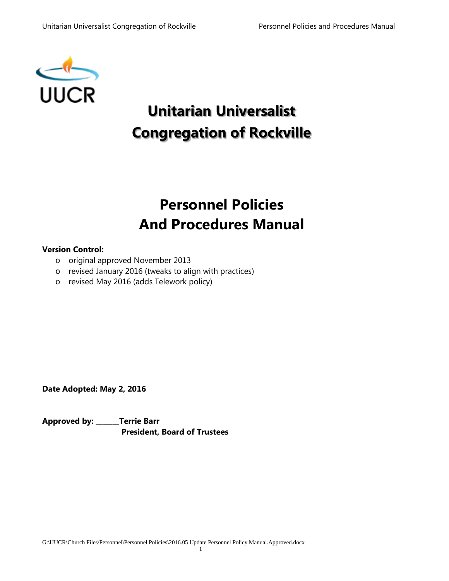

# **Unitarian Universalist Congregation of Rockville**

# **Personnel Policies And Procedures Manual**

#### **Version Control:**

- o original approved November 2013
- o revised January 2016 (tweaks to align with practices)
- o revised May 2016 (adds Telework policy)

**Date Adopted: May 2, 2016**

**Approved by: \_\_\_\_\_\_\_Terrie Barr President, Board of Trustees**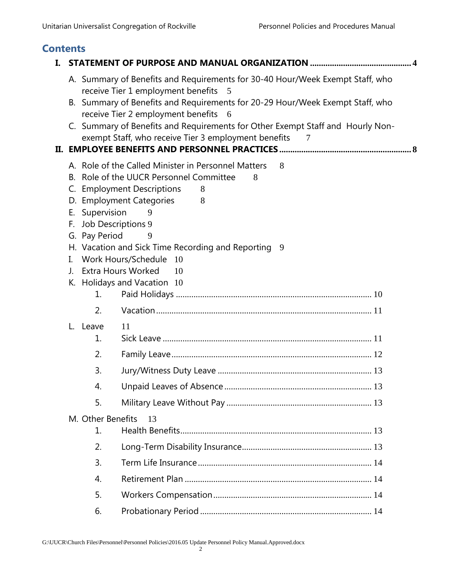# **Contents**

| L. |                                                               |                                                                                                                                                                                                                                                                                                                                                                     |
|----|---------------------------------------------------------------|---------------------------------------------------------------------------------------------------------------------------------------------------------------------------------------------------------------------------------------------------------------------------------------------------------------------------------------------------------------------|
|    |                                                               | A. Summary of Benefits and Requirements for 30-40 Hour/Week Exempt Staff, who<br>receive Tier 1 employment benefits 5                                                                                                                                                                                                                                               |
|    |                                                               | B. Summary of Benefits and Requirements for 20-29 Hour/Week Exempt Staff, who                                                                                                                                                                                                                                                                                       |
|    |                                                               | receive Tier 2 employment benefits<br>- 6<br>C. Summary of Benefits and Requirements for Other Exempt Staff and Hourly Non-                                                                                                                                                                                                                                         |
|    |                                                               | exempt Staff, who receive Tier 3 employment benefits                                                                                                                                                                                                                                                                                                                |
|    |                                                               |                                                                                                                                                                                                                                                                                                                                                                     |
|    | Supervision<br>Е.<br>F.<br>G. Pay Period<br>I.<br>$J_{\cdot}$ | A. Role of the Called Minister in Personnel Matters<br>8<br>B. Role of the UUCR Personnel Committee<br>8<br>C. Employment Descriptions<br>8<br>D. Employment Categories<br>8<br>9<br>Job Descriptions 9<br>9<br>H. Vacation and Sick Time Recording and Reporting 9<br>Work Hours/Schedule<br>-10<br><b>Extra Hours Worked</b><br>10<br>K. Holidays and Vacation 10 |
|    | 1.                                                            |                                                                                                                                                                                                                                                                                                                                                                     |
|    | 2.                                                            |                                                                                                                                                                                                                                                                                                                                                                     |
|    | L. Leave<br>1.                                                | 11                                                                                                                                                                                                                                                                                                                                                                  |
|    | 2.                                                            |                                                                                                                                                                                                                                                                                                                                                                     |
|    | 3.                                                            |                                                                                                                                                                                                                                                                                                                                                                     |
|    | 4.                                                            |                                                                                                                                                                                                                                                                                                                                                                     |
|    | 5.                                                            |                                                                                                                                                                                                                                                                                                                                                                     |
|    | M. Other Benefits                                             | 13                                                                                                                                                                                                                                                                                                                                                                  |
|    | 1.                                                            |                                                                                                                                                                                                                                                                                                                                                                     |
|    | 2.                                                            |                                                                                                                                                                                                                                                                                                                                                                     |
|    | 3.                                                            |                                                                                                                                                                                                                                                                                                                                                                     |
|    | $\overline{4}$ .                                              |                                                                                                                                                                                                                                                                                                                                                                     |
|    | 5.                                                            |                                                                                                                                                                                                                                                                                                                                                                     |
|    | 6.                                                            |                                                                                                                                                                                                                                                                                                                                                                     |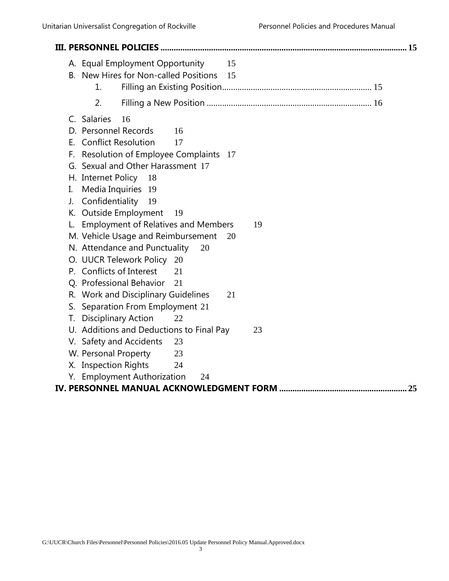|    |                            | A. Equal Employment Opportunity<br>B. New Hires for Non-called Positions |    | 15<br>15 |    |  |    |
|----|----------------------------|--------------------------------------------------------------------------|----|----------|----|--|----|
|    | 1.                         |                                                                          |    |          |    |  |    |
|    | 2.                         |                                                                          |    |          |    |  |    |
|    | C. Salaries                | 16                                                                       |    |          |    |  |    |
|    | D. Personnel Records       |                                                                          | 16 |          |    |  |    |
|    | E. Conflict Resolution     |                                                                          | 17 |          |    |  |    |
|    |                            | F. Resolution of Employee Complaints 17                                  |    |          |    |  |    |
|    |                            | G. Sexual and Other Harassment 17                                        |    |          |    |  |    |
|    | H. Internet Policy 18      |                                                                          |    |          |    |  |    |
| I. |                            | Media Inquiries 19                                                       |    |          |    |  |    |
| J. |                            | Confidentiality 19                                                       |    |          |    |  |    |
|    |                            | K. Outside Employment                                                    | 19 |          |    |  |    |
|    |                            | <b>Employment of Relatives and Members</b>                               |    |          | 19 |  |    |
|    |                            | M. Vehicle Usage and Reimbursement                                       |    | 20       |    |  |    |
|    |                            | N. Attendance and Punctuality                                            | 20 |          |    |  |    |
|    |                            | O. UUCR Telework Policy                                                  | 20 |          |    |  |    |
|    | P. Conflicts of Interest   |                                                                          | 21 |          |    |  |    |
|    |                            | Q. Professional Behavior                                                 | 21 |          |    |  |    |
|    |                            | R. Work and Disciplinary Guidelines                                      |    | 21       |    |  |    |
|    |                            | S. Separation From Employment 21                                         |    |          |    |  |    |
| Т. | <b>Disciplinary Action</b> |                                                                          | 22 |          |    |  |    |
|    |                            | U. Additions and Deductions to Final Pay                                 |    |          | 23 |  |    |
|    |                            | V. Safety and Accidents                                                  | 23 |          |    |  |    |
|    | W. Personal Property       |                                                                          | 23 |          |    |  |    |
|    | X. Inspection Rights       |                                                                          | 24 |          |    |  |    |
|    |                            | Y. Employment Authorization                                              | 24 |          |    |  |    |
|    |                            |                                                                          |    |          |    |  | 25 |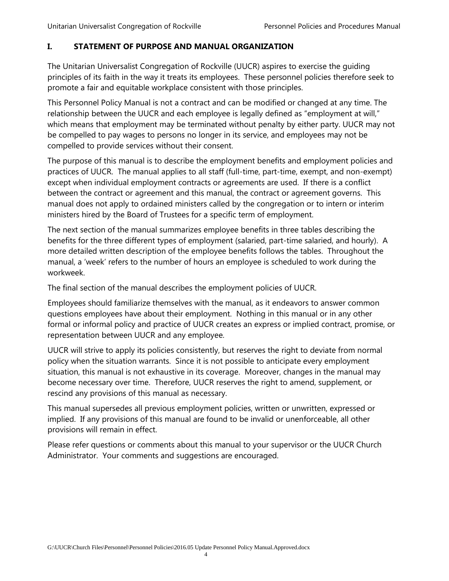#### <span id="page-3-0"></span>**I. STATEMENT OF PURPOSE AND MANUAL ORGANIZATION**

The Unitarian Universalist Congregation of Rockville (UUCR) aspires to exercise the guiding principles of its faith in the way it treats its employees. These personnel policies therefore seek to promote a fair and equitable workplace consistent with those principles.

This Personnel Policy Manual is not a contract and can be modified or changed at any time. The relationship between the UUCR and each employee is legally defined as "employment at will," which means that employment may be terminated without penalty by either party. UUCR may not be compelled to pay wages to persons no longer in its service, and employees may not be compelled to provide services without their consent.

The purpose of this manual is to describe the employment benefits and employment policies and practices of UUCR. The manual applies to all staff (full-time, part-time, exempt, and non-exempt) except when individual employment contracts or agreements are used. If there is a conflict between the contract or agreement and this manual, the contract or agreement governs. This manual does not apply to ordained ministers called by the congregation or to intern or interim ministers hired by the Board of Trustees for a specific term of employment.

The next section of the manual summarizes employee benefits in three tables describing the benefits for the three different types of employment (salaried, part-time salaried, and hourly). A more detailed written description of the employee benefits follows the tables. Throughout the manual, a 'week' refers to the number of hours an employee is scheduled to work during the workweek.

The final section of the manual describes the employment policies of UUCR.

Employees should familiarize themselves with the manual, as it endeavors to answer common questions employees have about their employment. Nothing in this manual or in any other formal or informal policy and practice of UUCR creates an express or implied contract, promise, or representation between UUCR and any employee.

UUCR will strive to apply its policies consistently, but reserves the right to deviate from normal policy when the situation warrants. Since it is not possible to anticipate every employment situation, this manual is not exhaustive in its coverage. Moreover, changes in the manual may become necessary over time. Therefore, UUCR reserves the right to amend, supplement, or rescind any provisions of this manual as necessary.

This manual supersedes all previous employment policies, written or unwritten, expressed or implied. If any provisions of this manual are found to be invalid or unenforceable, all other provisions will remain in effect.

Please refer questions or comments about this manual to your supervisor or the UUCR Church Administrator. Your comments and suggestions are encouraged.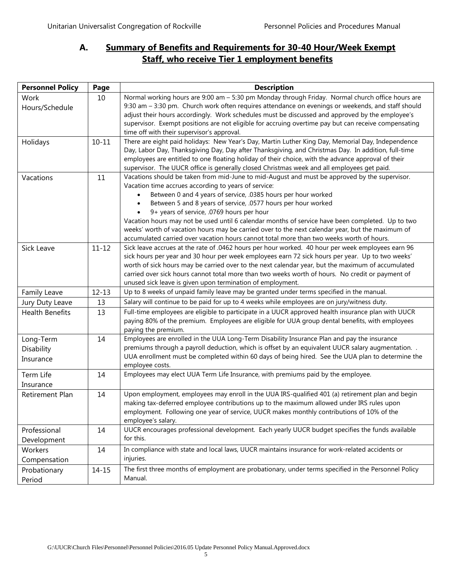# <span id="page-4-0"></span>**A. Summary of Benefits and Requirements for 30-40 Hour/Week Exempt Staff, who receive Tier 1 employment benefits**

| <b>Personnel Policy</b> | Page      | <b>Description</b>                                                                                                                            |
|-------------------------|-----------|-----------------------------------------------------------------------------------------------------------------------------------------------|
| Work                    | 10        | Normal working hours are 9:00 am - 5:30 pm Monday through Friday. Normal church office hours are                                              |
| Hours/Schedule          |           | 9:30 am - 3:30 pm. Church work often requires attendance on evenings or weekends, and staff should                                            |
|                         |           | adjust their hours accordingly. Work schedules must be discussed and approved by the employee's                                               |
|                         |           | supervisor. Exempt positions are not eligible for accruing overtime pay but can receive compensating                                          |
|                         |           | time off with their supervisor's approval.                                                                                                    |
| Holidays                | $10 - 11$ | There are eight paid holidays: New Year's Day, Martin Luther King Day, Memorial Day, Independence                                             |
|                         |           | Day, Labor Day, Thanksgiving Day, Day after Thanksgiving, and Christmas Day. In addition, full-time                                           |
|                         |           | employees are entitled to one floating holiday of their choice, with the advance approval of their                                            |
|                         |           | supervisor. The UUCR office is generally closed Christmas week and all employees get paid.                                                    |
| Vacations               | 11        | Vacations should be taken from mid-June to mid-August and must be approved by the supervisor.                                                 |
|                         |           | Vacation time accrues according to years of service:                                                                                          |
|                         |           | Between 0 and 4 years of service, .0385 hours per hour worked                                                                                 |
|                         |           | Between 5 and 8 years of service, .0577 hours per hour worked                                                                                 |
|                         |           | 9+ years of service, .0769 hours per hour<br>Vacation hours may not be used until 6 calendar months of service have been completed. Up to two |
|                         |           | weeks' worth of vacation hours may be carried over to the next calendar year, but the maximum of                                              |
|                         |           | accumulated carried over vacation hours cannot total more than two weeks worth of hours.                                                      |
| Sick Leave              | $11 - 12$ | Sick leave accrues at the rate of .0462 hours per hour worked. 40 hour per week employees earn 96                                             |
|                         |           | sick hours per year and 30 hour per week employees earn 72 sick hours per year. Up to two weeks'                                              |
|                         |           | worth of sick hours may be carried over to the next calendar year, but the maximum of accumulated                                             |
|                         |           | carried over sick hours cannot total more than two weeks worth of hours. No credit or payment of                                              |
|                         |           | unused sick leave is given upon termination of employment.                                                                                    |
| Family Leave            | $12 - 13$ | Up to 8 weeks of unpaid family leave may be granted under terms specified in the manual.                                                      |
| Jury Duty Leave         | 13        | Salary will continue to be paid for up to 4 weeks while employees are on jury/witness duty.                                                   |
| <b>Health Benefits</b>  | 13        | Full-time employees are eligible to participate in a UUCR approved health insurance plan with UUCR                                            |
|                         |           | paying 80% of the premium. Employees are eligible for UUA group dental benefits, with employees                                               |
|                         |           | paying the premium.                                                                                                                           |
| Long-Term               | 14        | Employees are enrolled in the UUA Long-Term Disability Insurance Plan and pay the insurance                                                   |
| Disability              |           | premiums through a payroll deduction, which is offset by an equivalent UUCR salary augmentation. .                                            |
| Insurance               |           | UUA enrollment must be completed within 60 days of being hired. See the UUA plan to determine the                                             |
|                         |           | employee costs.                                                                                                                               |
| Term Life               | 14        | Employees may elect UUA Term Life Insurance, with premiums paid by the employee.                                                              |
| Insurance               |           |                                                                                                                                               |
| Retirement Plan         | 14        | Upon employment, employees may enroll in the UUA IRS-qualified 401 (a) retirement plan and begin                                              |
|                         |           | making tax-deferred employee contributions up to the maximum allowed under IRS rules upon                                                     |
|                         |           | employment. Following one year of service, UUCR makes monthly contributions of 10% of the                                                     |
|                         |           | employee's salary.                                                                                                                            |
| Professional            | 14        | UUCR encourages professional development. Each yearly UUCR budget specifies the funds available                                               |
| Development             |           | for this.                                                                                                                                     |
| Workers                 | 14        | In compliance with state and local laws, UUCR maintains insurance for work-related accidents or                                               |
| Compensation            |           | injuries.                                                                                                                                     |
| Probationary            | $14 - 15$ | The first three months of employment are probationary, under terms specified in the Personnel Policy                                          |
|                         |           | Manual.                                                                                                                                       |
| Period                  |           |                                                                                                                                               |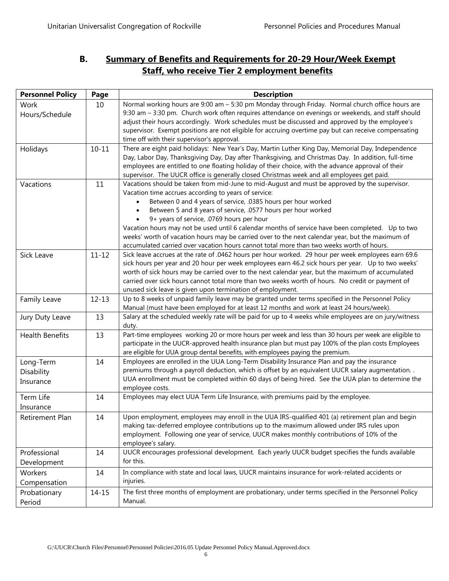# <span id="page-5-0"></span>**B. Summary of Benefits and Requirements for 20-29 Hour/Week Exempt Staff, who receive Tier 2 employment benefits**

| <b>Personnel Policy</b> | Page      | <b>Description</b>                                                                                                                                                                                        |
|-------------------------|-----------|-----------------------------------------------------------------------------------------------------------------------------------------------------------------------------------------------------------|
| Work                    | 10        | Normal working hours are 9:00 am - 5:30 pm Monday through Friday. Normal church office hours are                                                                                                          |
| Hours/Schedule          |           | 9:30 am - 3:30 pm. Church work often requires attendance on evenings or weekends, and staff should                                                                                                        |
|                         |           | adjust their hours accordingly. Work schedules must be discussed and approved by the employee's                                                                                                           |
|                         |           | supervisor. Exempt positions are not eligible for accruing overtime pay but can receive compensating                                                                                                      |
|                         |           | time off with their supervisor's approval.                                                                                                                                                                |
| Holidays                | $10 - 11$ | There are eight paid holidays: New Year's Day, Martin Luther King Day, Memorial Day, Independence                                                                                                         |
|                         |           | Day, Labor Day, Thanksgiving Day, Day after Thanksgiving, and Christmas Day. In addition, full-time                                                                                                       |
|                         |           | employees are entitled to one floating holiday of their choice, with the advance approval of their                                                                                                        |
|                         |           | supervisor. The UUCR office is generally closed Christmas week and all employees get paid.                                                                                                                |
| Vacations               | 11        | Vacations should be taken from mid-June to mid-August and must be approved by the supervisor.                                                                                                             |
|                         |           | Vacation time accrues according to years of service:                                                                                                                                                      |
|                         |           | Between 0 and 4 years of service, .0385 hours per hour worked                                                                                                                                             |
|                         |           | Between 5 and 8 years of service, .0577 hours per hour worked                                                                                                                                             |
|                         |           | 9+ years of service, .0769 hours per hour                                                                                                                                                                 |
|                         |           | Vacation hours may not be used until 6 calendar months of service have been completed. Up to two                                                                                                          |
|                         |           | weeks' worth of vacation hours may be carried over to the next calendar year, but the maximum of                                                                                                          |
|                         |           | accumulated carried over vacation hours cannot total more than two weeks worth of hours.                                                                                                                  |
| Sick Leave              | $11 - 12$ | Sick leave accrues at the rate of .0462 hours per hour worked. 29 hour per week employees earn 69.6<br>sick hours per year and 20 hour per week employees earn 46.2 sick hours per year. Up to two weeks' |
|                         |           | worth of sick hours may be carried over to the next calendar year, but the maximum of accumulated                                                                                                         |
|                         |           | carried over sick hours cannot total more than two weeks worth of hours. No credit or payment of                                                                                                          |
|                         |           | unused sick leave is given upon termination of employment.                                                                                                                                                |
| Family Leave            | $12 - 13$ | Up to 8 weeks of unpaid family leave may be granted under terms specified in the Personnel Policy                                                                                                         |
|                         |           | Manual (must have been employed for at least 12 months and work at least 24 hours/week).                                                                                                                  |
| Jury Duty Leave         | 13        | Salary at the scheduled weekly rate will be paid for up to 4 weeks while employees are on jury/witness                                                                                                    |
|                         |           | duty.                                                                                                                                                                                                     |
| <b>Health Benefits</b>  | 13        | Part-time employees working 20 or more hours per week and less than 30 hours per week are eligible to                                                                                                     |
|                         |           | participate in the UUCR-approved health insurance plan but must pay 100% of the plan costs Employees                                                                                                      |
|                         |           | are eligible for UUA group dental benefits, with employees paying the premium.                                                                                                                            |
| Long-Term               | 14        | Employees are enrolled in the UUA Long-Term Disability Insurance Plan and pay the insurance                                                                                                               |
| Disability              |           | premiums through a payroll deduction, which is offset by an equivalent UUCR salary augmentation                                                                                                           |
| Insurance               |           | UUA enrollment must be completed within 60 days of being hired. See the UUA plan to determine the                                                                                                         |
|                         |           | employee costs.                                                                                                                                                                                           |
| Term Life               | 14        | Employees may elect UUA Term Life Insurance, with premiums paid by the employee.                                                                                                                          |
| Insurance               |           |                                                                                                                                                                                                           |
| Retirement Plan         | 14        | Upon employment, employees may enroll in the UUA IRS-qualified 401 (a) retirement plan and begin                                                                                                          |
|                         |           | making tax-deferred employee contributions up to the maximum allowed under IRS rules upon                                                                                                                 |
|                         |           | employment. Following one year of service, UUCR makes monthly contributions of 10% of the                                                                                                                 |
|                         |           | employee's salary.                                                                                                                                                                                        |
| Professional            | 14        | UUCR encourages professional development. Each yearly UUCR budget specifies the funds available                                                                                                           |
| Development             |           | for this.                                                                                                                                                                                                 |
| Workers                 | 14        | In compliance with state and local laws, UUCR maintains insurance for work-related accidents or                                                                                                           |
| Compensation            |           | injuries.                                                                                                                                                                                                 |
| Probationary            | $14 - 15$ | The first three months of employment are probationary, under terms specified in the Personnel Policy                                                                                                      |
|                         |           | Manual.                                                                                                                                                                                                   |
| Period                  |           |                                                                                                                                                                                                           |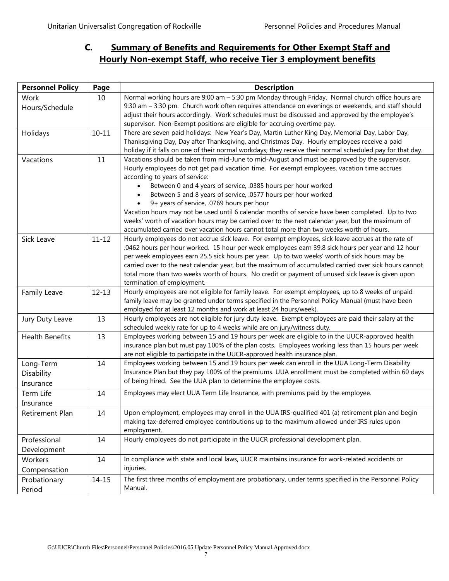# <span id="page-6-0"></span>**C. Summary of Benefits and Requirements for Other Exempt Staff and Hourly Non-exempt Staff, who receive Tier 3 employment benefits**

| <b>Personnel Policy</b> | Page      | <b>Description</b>                                                                                         |
|-------------------------|-----------|------------------------------------------------------------------------------------------------------------|
| Work                    | 10        | Normal working hours are 9:00 am - 5:30 pm Monday through Friday. Normal church office hours are           |
| Hours/Schedule          |           | 9:30 am - 3:30 pm. Church work often requires attendance on evenings or weekends, and staff should         |
|                         |           | adjust their hours accordingly. Work schedules must be discussed and approved by the employee's            |
|                         |           | supervisor. Non-Exempt positions are eligible for accruing overtime pay.                                   |
| Holidays                | $10 - 11$ | There are seven paid holidays: New Year's Day, Martin Luther King Day, Memorial Day, Labor Day,            |
|                         |           | Thanksgiving Day, Day after Thanksgiving, and Christmas Day. Hourly employees receive a paid               |
|                         |           | holiday if it falls on one of their normal workdays; they receive their normal scheduled pay for that day. |
| Vacations               | 11        | Vacations should be taken from mid-June to mid-August and must be approved by the supervisor.              |
|                         |           | Hourly employees do not get paid vacation time. For exempt employees, vacation time accrues                |
|                         |           | according to years of service:                                                                             |
|                         |           | Between 0 and 4 years of service, .0385 hours per hour worked                                              |
|                         |           | Between 5 and 8 years of service, .0577 hours per hour worked                                              |
|                         |           | 9+ years of service, .0769 hours per hour                                                                  |
|                         |           | Vacation hours may not be used until 6 calendar months of service have been completed. Up to two           |
|                         |           | weeks' worth of vacation hours may be carried over to the next calendar year, but the maximum of           |
|                         |           | accumulated carried over vacation hours cannot total more than two weeks worth of hours.                   |
| Sick Leave              | $11 - 12$ | Hourly employees do not accrue sick leave. For exempt employees, sick leave accrues at the rate of         |
|                         |           | .0462 hours per hour worked. 15 hour per week employees earn 39.8 sick hours per year and 12 hour          |
|                         |           | per week employees earn 25.5 sick hours per year. Up to two weeks' worth of sick hours may be              |
|                         |           | carried over to the next calendar year, but the maximum of accumulated carried over sick hours cannot      |
|                         |           | total more than two weeks worth of hours. No credit or payment of unused sick leave is given upon          |
|                         |           | termination of employment.                                                                                 |
| Family Leave            | $12 - 13$ | Hourly employees are not eligible for family leave. For exempt employees, up to 8 weeks of unpaid          |
|                         |           | family leave may be granted under terms specified in the Personnel Policy Manual (must have been           |
|                         |           | employed for at least 12 months and work at least 24 hours/week).                                          |
| Jury Duty Leave         | 13        | Hourly employees are not eligible for jury duty leave. Exempt employees are paid their salary at the       |
|                         |           | scheduled weekly rate for up to 4 weeks while are on jury/witness duty.                                    |
| <b>Health Benefits</b>  | 13        | Employees working between 15 and 19 hours per week are eligible to in the UUCR-approved health             |
|                         |           | insurance plan but must pay 100% of the plan costs. Employees working less than 15 hours per week          |
|                         |           | are not eligible to participate in the UUCR-approved health insurance plan.                                |
| Long-Term               | 14        | Employees working between 15 and 19 hours per week can enroll in the UUA Long-Term Disability              |
| Disability              |           | Insurance Plan but they pay 100% of the premiums. UUA enrollment must be completed within 60 days          |
| Insurance               |           | of being hired. See the UUA plan to determine the employee costs.                                          |
| Term Life               | 14        | Employees may elect UUA Term Life Insurance, with premiums paid by the employee.                           |
| Insurance               |           |                                                                                                            |
| Retirement Plan         | 14        | Upon employment, employees may enroll in the UUA IRS-qualified 401 (a) retirement plan and begin           |
|                         |           | making tax-deferred employee contributions up to the maximum allowed under IRS rules upon                  |
|                         |           | employment.                                                                                                |
| Professional            | 14        | Hourly employees do not participate in the UUCR professional development plan.                             |
| Development             |           |                                                                                                            |
| Workers                 | 14        | In compliance with state and local laws, UUCR maintains insurance for work-related accidents or            |
|                         |           | injuries.                                                                                                  |
| Compensation            |           |                                                                                                            |
| Probationary            | $14 - 15$ | The first three months of employment are probationary, under terms specified in the Personnel Policy       |
| Period                  |           | Manual.                                                                                                    |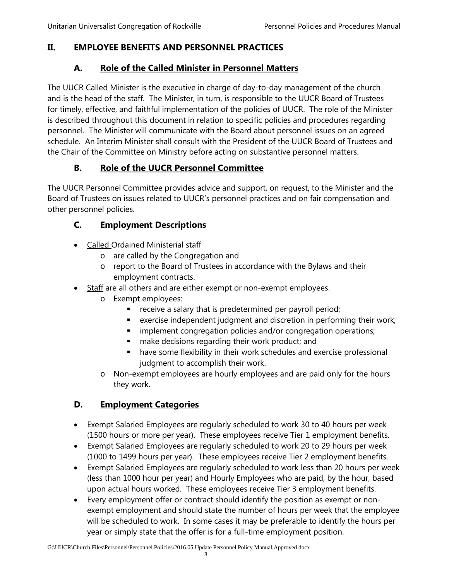# <span id="page-7-1"></span><span id="page-7-0"></span>**II. EMPLOYEE BENEFITS AND PERSONNEL PRACTICES**

## **A. Role of the Called Minister in Personnel Matters**

The UUCR Called Minister is the executive in charge of day-to-day management of the church and is the head of the staff. The Minister, in turn, is responsible to the UUCR Board of Trustees for timely, effective, and faithful implementation of the policies of UUCR. The role of the Minister is described throughout this document in relation to specific policies and procedures regarding personnel. The Minister will communicate with the Board about personnel issues on an agreed schedule. An Interim Minister shall consult with the President of the UUCR Board of Trustees and the Chair of the Committee on Ministry before acting on substantive personnel matters.

# **B. Role of the UUCR Personnel Committee**

<span id="page-7-2"></span>The UUCR Personnel Committee provides advice and support, on request, to the Minister and the Board of Trustees on issues related to UUCR's personnel practices and on fair compensation and other personnel policies.

# <span id="page-7-3"></span>**C. Employment Descriptions**

- Called Ordained Ministerial staff
	- o are called by the Congregation and
	- o report to the Board of Trustees in accordance with the Bylaws and their employment contracts.
	- Staff are all others and are either exempt or non-exempt employees.
		- o Exempt employees:
			- **•** receive a salary that is predetermined per payroll period;
			- exercise independent judgment and discretion in performing their work;
			- **EXECT** implement congregation policies and/or congregation operations;
			- **n** make decisions regarding their work product; and
			- have some flexibility in their work schedules and exercise professional judgment to accomplish their work.
		- o Non-exempt employees are hourly employees and are paid only for the hours they work.

# <span id="page-7-4"></span>**D. Employment Categories**

- Exempt Salaried Employees are regularly scheduled to work 30 to 40 hours per week (1500 hours or more per year). These employees receive Tier 1 employment benefits.
- Exempt Salaried Employees are regularly scheduled to work 20 to 29 hours per week (1000 to 1499 hours per year). These employees receive Tier 2 employment benefits.
- Exempt Salaried Employees are regularly scheduled to work less than 20 hours per week (less than 1000 hour per year) and Hourly Employees who are paid, by the hour, based upon actual hours worked. These employees receive Tier 3 employment benefits.
- Every employment offer or contract should identify the position as exempt or nonexempt employment and should state the number of hours per week that the employee will be scheduled to work. In some cases it may be preferable to identify the hours per year or simply state that the offer is for a full-time employment position.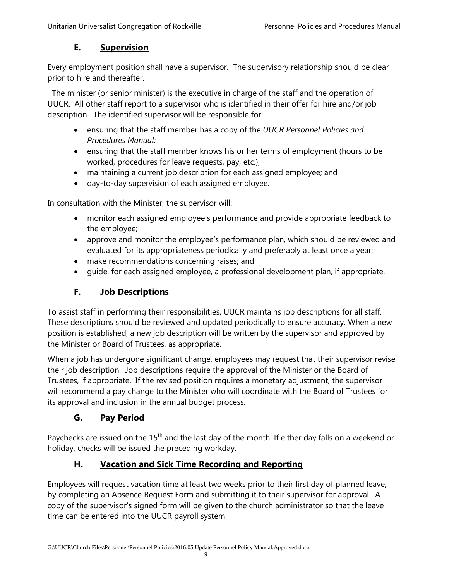## **E. Supervision**

<span id="page-8-0"></span>Every employment position shall have a supervisor. The supervisory relationship should be clear prior to hire and thereafter.

 The minister (or senior minister) is the executive in charge of the staff and the operation of UUCR. All other staff report to a supervisor who is identified in their offer for hire and/or job description. The identified supervisor will be responsible for:

- ensuring that the staff member has a copy of the *UUCR Personnel Policies and Procedures Manual;*
- ensuring that the staff member knows his or her terms of employment (hours to be worked, procedures for leave requests, pay, etc.);
- maintaining a current job description for each assigned employee; and
- day-to-day supervision of each assigned employee.

In consultation with the Minister, the supervisor will:

- monitor each assigned employee's performance and provide appropriate feedback to the employee;
- approve and monitor the employee's performance plan, which should be reviewed and evaluated for its appropriateness periodically and preferably at least once a year;
- make recommendations concerning raises; and
- guide, for each assigned employee, a professional development plan, if appropriate.

# **F. Job Descriptions**

<span id="page-8-1"></span>To assist staff in performing their responsibilities, UUCR maintains job descriptions for all staff. These descriptions should be reviewed and updated periodically to ensure accuracy. When a new position is established, a new job description will be written by the supervisor and approved by the Minister or Board of Trustees, as appropriate.

When a job has undergone significant change, employees may request that their supervisor revise their job description. Job descriptions require the approval of the Minister or the Board of Trustees, if appropriate. If the revised position requires a monetary adjustment, the supervisor will recommend a pay change to the Minister who will coordinate with the Board of Trustees for its approval and inclusion in the annual budget process.

# **G. Pay Period**

<span id="page-8-2"></span>Paychecks are issued on the 15<sup>th</sup> and the last day of the month. If either day falls on a weekend or holiday, checks will be issued the preceding workday.

# **H. Vacation and Sick Time Recording and Reporting**

<span id="page-8-3"></span>Employees will request vacation time at least two weeks prior to their first day of planned leave, by completing an Absence Request Form and submitting it to their supervisor for approval. A copy of the supervisor's signed form will be given to the church administrator so that the leave time can be entered into the UUCR payroll system.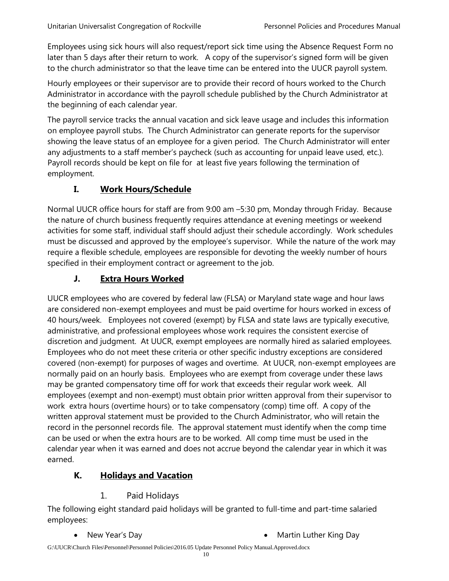Employees using sick hours will also request/report sick time using the Absence Request Form no later than 5 days after their return to work. A copy of the supervisor's signed form will be given to the church administrator so that the leave time can be entered into the UUCR payroll system.

Hourly employees or their supervisor are to provide their record of hours worked to the Church Administrator in accordance with the payroll schedule published by the Church Administrator at the beginning of each calendar year.

The payroll service tracks the annual vacation and sick leave usage and includes this information on employee payroll stubs. The Church Administrator can generate reports for the supervisor showing the leave status of an employee for a given period. The Church Administrator will enter any adjustments to a staff member's paycheck (such as accounting for unpaid leave used, etc.). Payroll records should be kept on file for at least five years following the termination of employment.

# **I. Work Hours/Schedule**

<span id="page-9-0"></span>Normal UUCR office hours for staff are from 9:00 am –5:30 pm, Monday through Friday. Because the nature of church business frequently requires attendance at evening meetings or weekend activities for some staff, individual staff should adjust their schedule accordingly. Work schedules must be discussed and approved by the employee's supervisor. While the nature of the work may require a flexible schedule, employees are responsible for devoting the weekly number of hours specified in their employment contract or agreement to the job.

# **J. Extra Hours Worked**

<span id="page-9-1"></span>UUCR employees who are covered by federal law (FLSA) or Maryland state wage and hour laws are considered non-exempt employees and must be paid overtime for hours worked in excess of 40 hours/week. Employees not covered (exempt) by FLSA and state laws are typically executive, administrative, and professional employees whose work requires the consistent exercise of discretion and judgment. At UUCR, exempt employees are normally hired as salaried employees. Employees who do not meet these criteria or other specific industry exceptions are considered covered (non-exempt) for purposes of wages and overtime. At UUCR, non-exempt employees are normally paid on an hourly basis. Employees who are exempt from coverage under these laws may be granted compensatory time off for work that exceeds their regular work week. All employees (exempt and non-exempt) must obtain prior written approval from their supervisor to work extra hours (overtime hours) or to take compensatory (comp) time off. A copy of the written approval statement must be provided to the Church Administrator, who will retain the record in the personnel records file. The approval statement must identify when the comp time can be used or when the extra hours are to be worked. All comp time must be used in the calendar year when it was earned and does not accrue beyond the calendar year in which it was earned.

# <span id="page-9-2"></span>**K. Holidays and Vacation**

#### 1. Paid Holidays

<span id="page-9-3"></span>The following eight standard paid holidays will be granted to full-time and part-time salaried employees:

- New Year's Day  **Martin Luther King Day**
-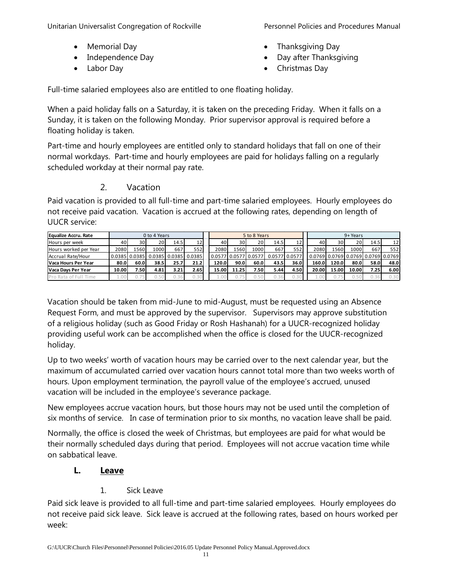Unitarian Universalist Congregation of Rockville **Personnel Policies and Procedures Manual** 

- Memorial Day
- Independence Day
- Labor Day

- Thanksgiving Day
- Day after Thanksgiving
- Christmas Day

Full-time salaried employees also are entitled to one floating holiday.

When a paid holiday falls on a Saturday, it is taken on the preceding Friday. When it falls on a Sunday, it is taken on the following Monday. Prior supervisor approval is required before a floating holiday is taken.

Part-time and hourly employees are entitled only to standard holidays that fall on one of their normal workdays. Part-time and hourly employees are paid for holidays falling on a regularly scheduled workday at their normal pay rate.

# 2. Vacation

<span id="page-10-0"></span>Paid vacation is provided to all full-time and part-time salaried employees. Hourly employees do not receive paid vacation. Vacation is accrued at the following rates, depending on length of UUCR service:

| Equalize Accru. Rate  |       |               | 0 to 4 Years |      |                        |        |       | 5 to 8 Years  |               |      | 9+ Years |       |       |                                    |                 |
|-----------------------|-------|---------------|--------------|------|------------------------|--------|-------|---------------|---------------|------|----------|-------|-------|------------------------------------|-----------------|
| Hours per week        | 40    | 30I           | 20           | 14.5 | 12                     | 40     | 30    | 20            | 14.5          | 12   | 40       | 30    | 20    | 14.5                               | 12 <sup>1</sup> |
| Hours worked per Year | 2080  | L560          | 1000         | 667  | 552                    | 2080   | 1560  | 10001         | 667           | 552  | 2080     | 1560  | 1000  | 667                                | 552             |
| Accrual Rate/Hour     |       | 0.0385 0.0385 |              |      | $0.0385$ 0.0385 0.0385 | 0.0577 |       | 0.0577 0.0577 | 0.0577 0.0577 |      |          |       |       | 0.0769 0.0769 0.0769 0.0769 0.0769 |                 |
| Vaca Hours Per Year   | 80.0  | 60.0          | 38.5         | 25.7 | 21.2                   | 120.0  | 90.0  | 60.0          | 43.5          | 36.0 | 160.0    | 120.0 | 80.0  | 58.0                               | 48.0            |
| Vaca Davs Per Year    | 10.00 | 7.50          | 4.81         | 3.21 | 2.65I                  | 15.00  | 11.25 | 7.50 l        | 5.44          | 4.50 | 20.00    | 15.00 | 10.00 | 7.251                              | 6.00            |
| Pro Rata of Full Time | - 00  |               | 0.50         | 0.36 | 0.30                   |        |       | 0.5           |               |      |          |       | 0.50  | J.36                               | 0.30            |

Vacation should be taken from mid-June to mid-August, must be requested using an Absence Request Form, and must be approved by the supervisor. Supervisors may approve substitution of a religious holiday (such as Good Friday or Rosh Hashanah) for a UUCR-recognized holiday providing useful work can be accomplished when the office is closed for the UUCR-recognized holiday.

Up to two weeks' worth of vacation hours may be carried over to the next calendar year, but the maximum of accumulated carried over vacation hours cannot total more than two weeks worth of hours. Upon employment termination, the payroll value of the employee's accrued, unused vacation will be included in the employee's severance package.

New employees accrue vacation hours, but those hours may not be used until the completion of six months of service. In case of termination prior to six months, no vacation leave shall be paid.

Normally, the office is closed the week of Christmas, but employees are paid for what would be their normally scheduled days during that period. Employees will not accrue vacation time while on sabbatical leave.

# <span id="page-10-1"></span>**L. Leave**

# 1. Sick Leave

<span id="page-10-2"></span>Paid sick leave is provided to all full-time and part-time salaried employees. Hourly employees do not receive paid sick leave. Sick leave is accrued at the following rates, based on hours worked per week: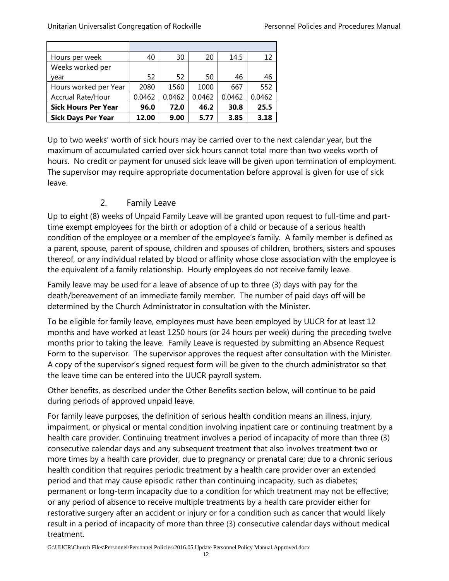| Hours per week             | 40     | 30     | 20     | 14.5   | 12     |
|----------------------------|--------|--------|--------|--------|--------|
| Weeks worked per           |        |        |        |        |        |
| year                       | 52     | 52     | 50     | 46     | 46     |
| Hours worked per Year      | 2080   | 1560   | 1000   | 667    | 552    |
| Accrual Rate/Hour          | 0.0462 | 0.0462 | 0.0462 | 0.0462 | 0.0462 |
| <b>Sick Hours Per Year</b> | 96.0   | 72.0   | 46.2   | 30.8   | 25.5   |
| <b>Sick Days Per Year</b>  | 12.00  | 9.00   | 5.77   | 3.85   | 3.18   |

Up to two weeks' worth of sick hours may be carried over to the next calendar year, but the maximum of accumulated carried over sick hours cannot total more than two weeks worth of hours. No credit or payment for unused sick leave will be given upon termination of employment. The supervisor may require appropriate documentation before approval is given for use of sick leave.

## 2. Family Leave

<span id="page-11-0"></span>Up to eight (8) weeks of Unpaid Family Leave will be granted upon request to full-time and parttime exempt employees for the birth or adoption of a child or because of a serious health condition of the employee or a member of the employee's family. A family member is defined as a parent, spouse, parent of spouse, children and spouses of children, brothers, sisters and spouses thereof, or any individual related by blood or affinity whose close association with the employee is the equivalent of a family relationship. Hourly employees do not receive family leave.

Family leave may be used for a leave of absence of up to three (3) days with pay for the death/bereavement of an immediate family member. The number of paid days off will be determined by the Church Administrator in consultation with the Minister.

To be eligible for family leave, employees must have been employed by UUCR for at least 12 months and have worked at least 1250 hours (or 24 hours per week) during the preceding twelve months prior to taking the leave. Family Leave is requested by submitting an Absence Request Form to the supervisor. The supervisor approves the request after consultation with the Minister. A copy of the supervisor's signed request form will be given to the church administrator so that the leave time can be entered into the UUCR payroll system.

Other benefits, as described under the Other Benefits section below, will continue to be paid during periods of approved unpaid leave.

For family leave purposes, the definition of serious health condition means an illness, injury, impairment, or physical or mental condition involving inpatient care or continuing treatment by a health care provider. Continuing treatment involves a period of incapacity of more than three (3) consecutive calendar days and any subsequent treatment that also involves treatment two or more times by a health care provider, due to pregnancy or prenatal care; due to a chronic serious health condition that requires periodic treatment by a health care provider over an extended period and that may cause episodic rather than continuing incapacity, such as diabetes; permanent or long-term incapacity due to a condition for which treatment may not be effective; or any period of absence to receive multiple treatments by a health care provider either for restorative surgery after an accident or injury or for a condition such as cancer that would likely result in a period of incapacity of more than three (3) consecutive calendar days without medical treatment.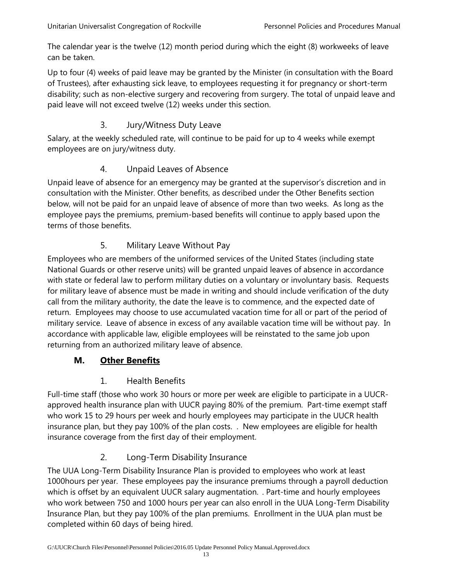The calendar year is the twelve (12) month period during which the eight (8) workweeks of leave can be taken.

Up to four (4) weeks of paid leave may be granted by the Minister (in consultation with the Board of Trustees), after exhausting sick leave, to employees requesting it for pregnancy or short-term disability; such as non-elective surgery and recovering from surgery. The total of unpaid leave and paid leave will not exceed twelve (12) weeks under this section.

## 3. Jury/Witness Duty Leave

<span id="page-12-0"></span>Salary, at the weekly scheduled rate, will continue to be paid for up to 4 weeks while exempt employees are on jury/witness duty.

## 4. Unpaid Leaves of Absence

<span id="page-12-1"></span>Unpaid leave of absence for an emergency may be granted at the supervisor's discretion and in consultation with the Minister. Other benefits, as described under the Other Benefits section below, will not be paid for an unpaid leave of absence of more than two weeks. As long as the employee pays the premiums, premium-based benefits will continue to apply based upon the terms of those benefits.

# 5. Military Leave Without Pay

<span id="page-12-2"></span>Employees who are members of the uniformed services of the United States (including state National Guards or other reserve units) will be granted unpaid leaves of absence in accordance with state or federal law to perform military duties on a voluntary or involuntary basis. Requests for military leave of absence must be made in writing and should include verification of the duty call from the military authority, the date the leave is to commence, and the expected date of return. Employees may choose to use accumulated vacation time for all or part of the period of military service. Leave of absence in excess of any available vacation time will be without pay. In accordance with applicable law, eligible employees will be reinstated to the same job upon returning from an authorized military leave of absence.

#### <span id="page-12-3"></span>**M. Other Benefits**

# 1. Health Benefits

<span id="page-12-4"></span>Full-time staff (those who work 30 hours or more per week are eligible to participate in a UUCRapproved health insurance plan with UUCR paying 80% of the premium. Part-time exempt staff who work 15 to 29 hours per week and hourly employees may participate in the UUCR health insurance plan, but they pay 100% of the plan costs. . New employees are eligible for health insurance coverage from the first day of their employment.

# 2. Long-Term Disability Insurance

<span id="page-12-5"></span>The UUA Long-Term Disability Insurance Plan is provided to employees who work at least 1000hours per year. These employees pay the insurance premiums through a payroll deduction which is offset by an equivalent UUCR salary augmentation. . Part-time and hourly employees who work between 750 and 1000 hours per year can also enroll in the UUA Long-Term Disability Insurance Plan, but they pay 100% of the plan premiums. Enrollment in the UUA plan must be completed within 60 days of being hired.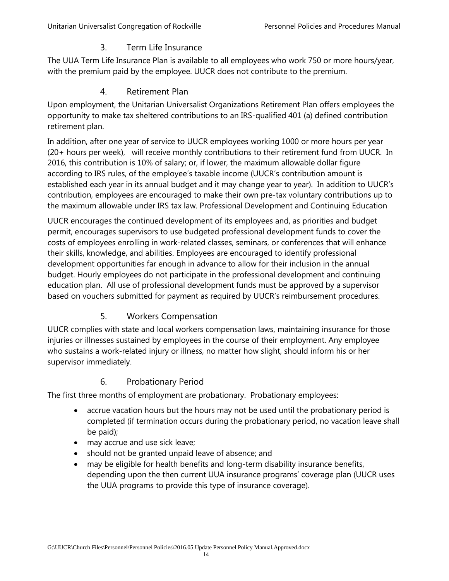### 3. Term Life Insurance

<span id="page-13-0"></span>The UUA Term Life Insurance Plan is available to all employees who work 750 or more hours/year, with the premium paid by the employee. UUCR does not contribute to the premium.

#### 4. Retirement Plan

<span id="page-13-1"></span>Upon employment, the Unitarian Universalist Organizations Retirement Plan offers employees the opportunity to make tax sheltered contributions to an IRS-qualified 401 (a) defined contribution retirement plan.

In addition, after one year of service to UUCR employees working 1000 or more hours per year (20+ hours per week), will receive monthly contributions to their retirement fund from UUCR. In 2016, this contribution is 10% of salary; or, if lower, the maximum allowable dollar figure according to IRS rules, of the employee's taxable income (UUCR's contribution amount is established each year in its annual budget and it may change year to year). In addition to UUCR's contribution, employees are encouraged to make their own pre-tax voluntary contributions up to the maximum allowable under IRS tax law. Professional Development and Continuing Education

UUCR encourages the continued development of its employees and, as priorities and budget permit, encourages supervisors to use budgeted professional development funds to cover the costs of employees enrolling in work-related classes, seminars, or conferences that will enhance their skills, knowledge, and abilities. Employees are encouraged to identify professional development opportunities far enough in advance to allow for their inclusion in the annual budget. Hourly employees do not participate in the professional development and continuing education plan. All use of professional development funds must be approved by a supervisor based on vouchers submitted for payment as required by UUCR's reimbursement procedures.

# 5. Workers Compensation

<span id="page-13-2"></span>UUCR complies with state and local workers compensation laws, maintaining insurance for those injuries or illnesses sustained by employees in the course of their employment. Any employee who sustains a work-related injury or illness, no matter how slight, should inform his or her supervisor immediately.

#### 6. Probationary Period

<span id="page-13-3"></span>The first three months of employment are probationary. Probationary employees:

- accrue vacation hours but the hours may not be used until the probationary period is completed (if termination occurs during the probationary period, no vacation leave shall be paid);
- may accrue and use sick leave;
- should not be granted unpaid leave of absence; and
- may be eligible for health benefits and long-term disability insurance benefits, depending upon the then current UUA insurance programs' coverage plan (UUCR uses the UUA programs to provide this type of insurance coverage).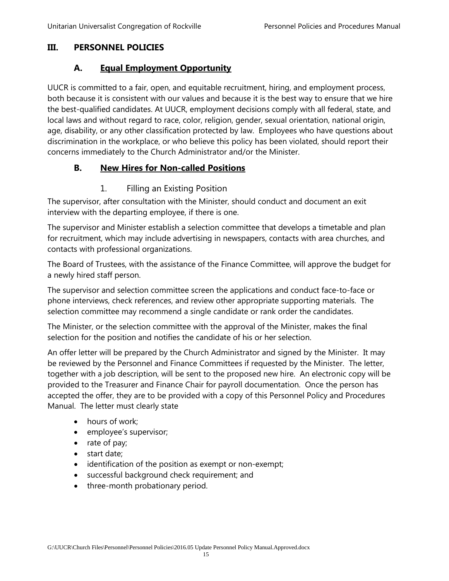#### <span id="page-14-1"></span><span id="page-14-0"></span>**III. PERSONNEL POLICIES**

## **A. Equal Employment Opportunity**

UUCR is committed to a fair, open, and equitable recruitment, hiring, and employment process, both because it is consistent with our values and because it is the best way to ensure that we hire the best-qualified candidates. At UUCR, employment decisions comply with all federal, state, and local laws and without regard to race, color, religion, gender, sexual orientation, national origin, age, disability, or any other classification protected by law. Employees who have questions about discrimination in the workplace, or who believe this policy has been violated, should report their concerns immediately to the Church Administrator and/or the Minister.

## <span id="page-14-2"></span>**B. New Hires for Non-called Positions**

#### 1. Filling an Existing Position

<span id="page-14-3"></span>The supervisor, after consultation with the Minister, should conduct and document an exit interview with the departing employee, if there is one.

The supervisor and Minister establish a selection committee that develops a timetable and plan for recruitment, which may include advertising in newspapers, contacts with area churches, and contacts with professional organizations.

The Board of Trustees, with the assistance of the Finance Committee, will approve the budget for a newly hired staff person.

The supervisor and selection committee screen the applications and conduct face-to-face or phone interviews, check references, and review other appropriate supporting materials. The selection committee may recommend a single candidate or rank order the candidates.

The Minister, or the selection committee with the approval of the Minister, makes the final selection for the position and notifies the candidate of his or her selection.

An offer letter will be prepared by the Church Administrator and signed by the Minister. It may be reviewed by the Personnel and Finance Committees if requested by the Minister. The letter, together with a job description, will be sent to the proposed new hire. An electronic copy will be provided to the Treasurer and Finance Chair for payroll documentation. Once the person has accepted the offer, they are to be provided with a copy of this Personnel Policy and Procedures Manual. The letter must clearly state

- hours of work:
- employee's supervisor;
- rate of pay;
- start date;
- identification of the position as exempt or non-exempt;
- successful background check requirement; and
- three-month probationary period.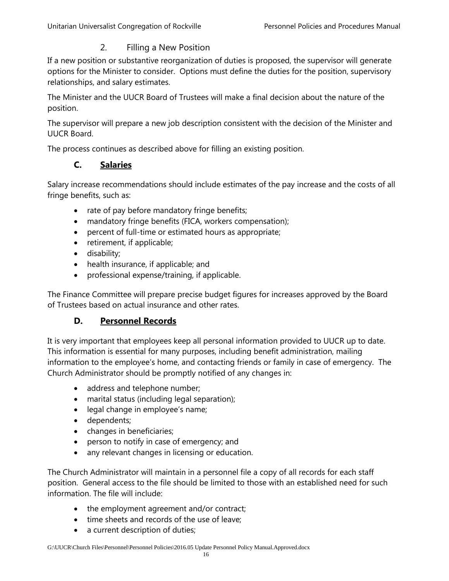#### 2. Filling a New Position

<span id="page-15-0"></span>If a new position or substantive reorganization of duties is proposed, the supervisor will generate options for the Minister to consider. Options must define the duties for the position, supervisory relationships, and salary estimates.

The Minister and the UUCR Board of Trustees will make a final decision about the nature of the position.

The supervisor will prepare a new job description consistent with the decision of the Minister and UUCR Board.

<span id="page-15-1"></span>The process continues as described above for filling an existing position.

#### **C. Salaries**

Salary increase recommendations should include estimates of the pay increase and the costs of all fringe benefits, such as:

- rate of pay before mandatory fringe benefits;
- mandatory fringe benefits (FICA, workers compensation);
- percent of full-time or estimated hours as appropriate;
- retirement, if applicable;
- disability;
- health insurance, if applicable; and
- professional expense/training, if applicable.

The Finance Committee will prepare precise budget figures for increases approved by the Board of Trustees based on actual insurance and other rates.

#### **D. Personnel Records**

<span id="page-15-2"></span>It is very important that employees keep all personal information provided to UUCR up to date. This information is essential for many purposes, including benefit administration, mailing information to the employee's home, and contacting friends or family in case of emergency. The Church Administrator should be promptly notified of any changes in:

- address and telephone number;
- marital status (including legal separation);
- legal change in employee's name;
- dependents;
- changes in beneficiaries;
- person to notify in case of emergency; and
- any relevant changes in licensing or education.

The Church Administrator will maintain in a personnel file a copy of all records for each staff position. General access to the file should be limited to those with an established need for such information. The file will include:

- the employment agreement and/or contract;
- time sheets and records of the use of leave;
- a current description of duties;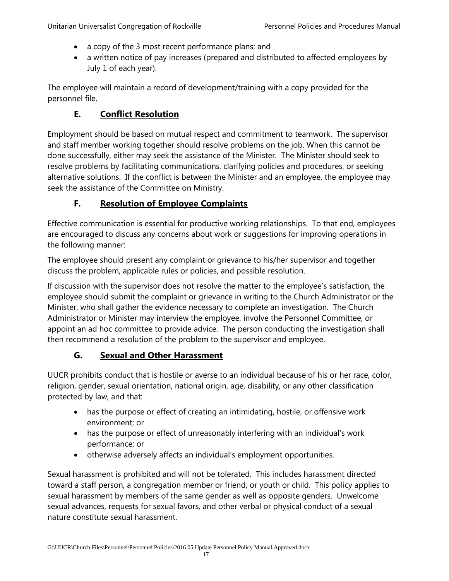- a copy of the 3 most recent performance plans; and
- a written notice of pay increases (prepared and distributed to affected employees by July 1 of each year).

The employee will maintain a record of development/training with a copy provided for the personnel file.

# **E. Conflict Resolution**

<span id="page-16-0"></span>Employment should be based on mutual respect and commitment to teamwork. The supervisor and staff member working together should resolve problems on the job. When this cannot be done successfully, either may seek the assistance of the Minister. The Minister should seek to resolve problems by facilitating communications, clarifying policies and procedures, or seeking alternative solutions. If the conflict is between the Minister and an employee, the employee may seek the assistance of the Committee on Ministry.

# **F. Resolution of Employee Complaints**

<span id="page-16-1"></span>Effective communication is essential for productive working relationships. To that end, employees are encouraged to discuss any concerns about work or suggestions for improving operations in the following manner:

The employee should present any complaint or grievance to his/her supervisor and together discuss the problem, applicable rules or policies, and possible resolution.

If discussion with the supervisor does not resolve the matter to the employee's satisfaction, the employee should submit the complaint or grievance in writing to the Church Administrator or the Minister, who shall gather the evidence necessary to complete an investigation. The Church Administrator or Minister may interview the employee, involve the Personnel Committee, or appoint an ad hoc committee to provide advice. The person conducting the investigation shall then recommend a resolution of the problem to the supervisor and employee.

# **G. Sexual and Other Harassment**

<span id="page-16-2"></span>UUCR prohibits conduct that is hostile or averse to an individual because of his or her race, color, religion, gender, sexual orientation, national origin, age, disability, or any other classification protected by law, and that:

- has the purpose or effect of creating an intimidating, hostile, or offensive work environment; or
- has the purpose or effect of unreasonably interfering with an individual's work performance; or
- otherwise adversely affects an individual's employment opportunities.

Sexual harassment is prohibited and will not be tolerated. This includes harassment directed toward a staff person, a congregation member or friend, or youth or child. This policy applies to sexual harassment by members of the same gender as well as opposite genders. Unwelcome sexual advances, requests for sexual favors, and other verbal or physical conduct of a sexual nature constitute sexual harassment.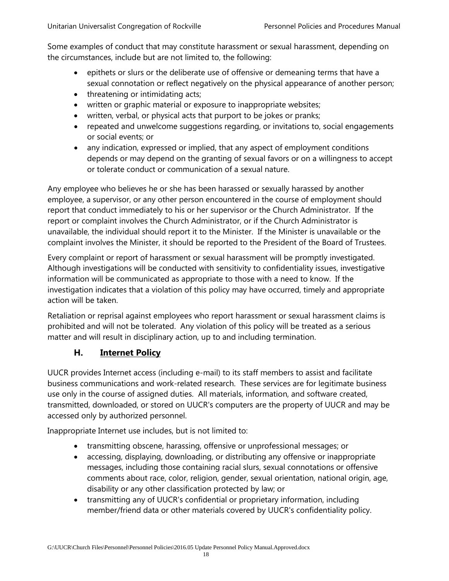Some examples of conduct that may constitute harassment or sexual harassment, depending on the circumstances, include but are not limited to, the following:

- epithets or slurs or the deliberate use of offensive or demeaning terms that have a sexual connotation or reflect negatively on the physical appearance of another person;
- threatening or intimidating acts;
- written or graphic material or exposure to inappropriate websites;
- written, verbal, or physical acts that purport to be jokes or pranks;
- repeated and unwelcome suggestions regarding, or invitations to, social engagements or social events; or
- any indication, expressed or implied, that any aspect of employment conditions depends or may depend on the granting of sexual favors or on a willingness to accept or tolerate conduct or communication of a sexual nature.

Any employee who believes he or she has been harassed or sexually harassed by another employee, a supervisor, or any other person encountered in the course of employment should report that conduct immediately to his or her supervisor or the Church Administrator. If the report or complaint involves the Church Administrator, or if the Church Administrator is unavailable, the individual should report it to the Minister. If the Minister is unavailable or the complaint involves the Minister, it should be reported to the President of the Board of Trustees.

Every complaint or report of harassment or sexual harassment will be promptly investigated. Although investigations will be conducted with sensitivity to confidentiality issues, investigative information will be communicated as appropriate to those with a need to know. If the investigation indicates that a violation of this policy may have occurred, timely and appropriate action will be taken.

Retaliation or reprisal against employees who report harassment or sexual harassment claims is prohibited and will not be tolerated. Any violation of this policy will be treated as a serious matter and will result in disciplinary action, up to and including termination.

# **H. Internet Policy**

<span id="page-17-0"></span>UUCR provides Internet access (including e-mail) to its staff members to assist and facilitate business communications and work-related research. These services are for legitimate business use only in the course of assigned duties. All materials, information, and software created, transmitted, downloaded, or stored on UUCR's computers are the property of UUCR and may be accessed only by authorized personnel.

Inappropriate Internet use includes, but is not limited to:

- transmitting obscene, harassing, offensive or unprofessional messages; or
- accessing, displaying, downloading, or distributing any offensive or inappropriate messages, including those containing racial slurs, sexual connotations or offensive comments about race, color, religion, gender, sexual orientation, national origin, age, disability or any other classification protected by law; or
- transmitting any of UUCR's confidential or proprietary information, including member/friend data or other materials covered by UUCR's confidentiality policy.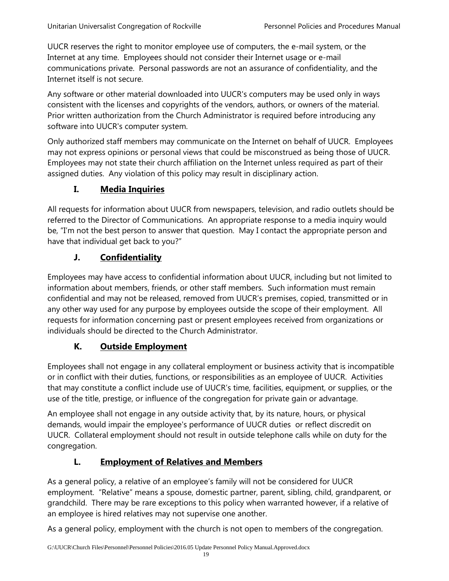UUCR reserves the right to monitor employee use of computers, the e-mail system, or the Internet at any time. Employees should not consider their Internet usage or e-mail communications private. Personal passwords are not an assurance of confidentiality, and the Internet itself is not secure.

Any software or other material downloaded into UUCR's computers may be used only in ways consistent with the licenses and copyrights of the vendors, authors, or owners of the material. Prior written authorization from the Church Administrator is required before introducing any software into UUCR's computer system.

Only authorized staff members may communicate on the Internet on behalf of UUCR. Employees may not express opinions or personal views that could be misconstrued as being those of UUCR. Employees may not state their church affiliation on the Internet unless required as part of their assigned duties. Any violation of this policy may result in disciplinary action.

# **I. Media Inquiries**

<span id="page-18-0"></span>All requests for information about UUCR from newspapers, television, and radio outlets should be referred to the Director of Communications. An appropriate response to a media inquiry would be, "I'm not the best person to answer that question. May I contact the appropriate person and have that individual get back to you?"

# **J. Confidentiality**

<span id="page-18-1"></span>Employees may have access to confidential information about UUCR, including but not limited to information about members, friends, or other staff members. Such information must remain confidential and may not be released, removed from UUCR's premises, copied, transmitted or in any other way used for any purpose by employees outside the scope of their employment. All requests for information concerning past or present employees received from organizations or individuals should be directed to the Church Administrator.

# **K. Outside Employment**

<span id="page-18-2"></span>Employees shall not engage in any collateral employment or business activity that is incompatible or in conflict with their duties, functions, or responsibilities as an employee of UUCR. Activities that may constitute a conflict include use of UUCR's time, facilities, equipment, or supplies, or the use of the title, prestige, or influence of the congregation for private gain or advantage.

An employee shall not engage in any outside activity that, by its nature, hours, or physical demands, would impair the employee's performance of UUCR duties or reflect discredit on UUCR. Collateral employment should not result in outside telephone calls while on duty for the congregation.

# **L. Employment of Relatives and Members**

<span id="page-18-3"></span>As a general policy, a relative of an employee's family will not be considered for UUCR employment. "Relative" means a spouse, domestic partner, parent, sibling, child, grandparent, or grandchild. There may be rare exceptions to this policy when warranted however, if a relative of an employee is hired relatives may not supervise one another.

As a general policy, employment with the church is not open to members of the congregation.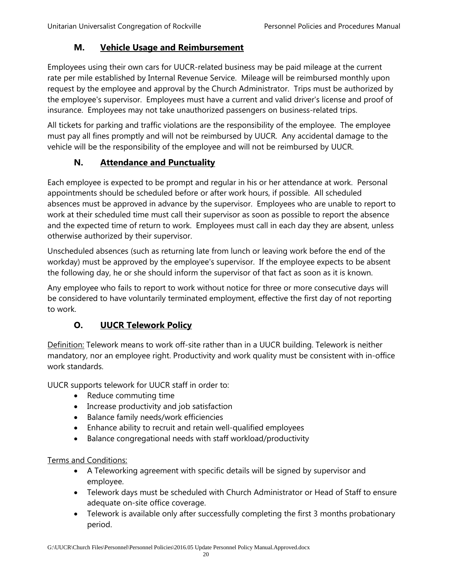## **M. Vehicle Usage and Reimbursement**

<span id="page-19-0"></span>Employees using their own cars for UUCR-related business may be paid mileage at the current rate per mile established by Internal Revenue Service. Mileage will be reimbursed monthly upon request by the employee and approval by the Church Administrator. Trips must be authorized by the employee's supervisor. Employees must have a current and valid driver's license and proof of insurance. Employees may not take unauthorized passengers on business-related trips.

All tickets for parking and traffic violations are the responsibility of the employee. The employee must pay all fines promptly and will not be reimbursed by UUCR. Any accidental damage to the vehicle will be the responsibility of the employee and will not be reimbursed by UUCR.

# **N. Attendance and Punctuality**

<span id="page-19-1"></span>Each employee is expected to be prompt and regular in his or her attendance at work. Personal appointments should be scheduled before or after work hours, if possible. All scheduled absences must be approved in advance by the supervisor. Employees who are unable to report to work at their scheduled time must call their supervisor as soon as possible to report the absence and the expected time of return to work. Employees must call in each day they are absent, unless otherwise authorized by their supervisor.

Unscheduled absences (such as returning late from lunch or leaving work before the end of the workday) must be approved by the employee's supervisor. If the employee expects to be absent the following day, he or she should inform the supervisor of that fact as soon as it is known.

Any employee who fails to report to work without notice for three or more consecutive days will be considered to have voluntarily terminated employment, effective the first day of not reporting to work.

# **O. UUCR Telework Policy**

<span id="page-19-2"></span>Definition: Telework means to work off-site rather than in a UUCR building. Telework is neither mandatory, nor an employee right. Productivity and work quality must be consistent with in-office work standards.

UUCR supports telework for UUCR staff in order to:

- Reduce commuting time
- Increase productivity and job satisfaction
- Balance family needs/work efficiencies
- Enhance ability to recruit and retain well-qualified employees
- Balance congregational needs with staff workload/productivity

#### Terms and Conditions:

- A Teleworking agreement with specific details will be signed by supervisor and employee.
- Telework days must be scheduled with Church Administrator or Head of Staff to ensure adequate on-site office coverage.
- Telework is available only after successfully completing the first 3 months probationary period.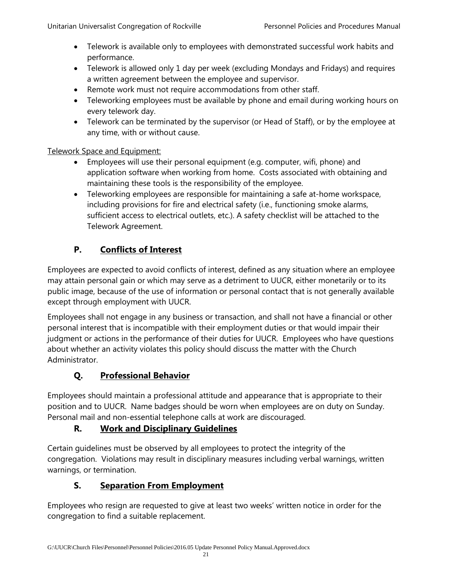- Telework is available only to employees with demonstrated successful work habits and performance.
- Telework is allowed only 1 day per week (excluding Mondays and Fridays) and requires a written agreement between the employee and supervisor.
- Remote work must not require accommodations from other staff.
- Teleworking employees must be available by phone and email during working hours on every telework day.
- Telework can be terminated by the supervisor (or Head of Staff), or by the employee at any time, with or without cause.

#### Telework Space and Equipment:

- Employees will use their personal equipment (e.g. computer, wifi, phone) and application software when working from home. Costs associated with obtaining and maintaining these tools is the responsibility of the employee.
- Teleworking employees are responsible for maintaining a safe at-home workspace, including provisions for fire and electrical safety (i.e., functioning smoke alarms, sufficient access to electrical outlets, etc.). A safety checklist will be attached to the Telework Agreement.

# **P. Conflicts of Interest**

<span id="page-20-0"></span>Employees are expected to avoid conflicts of interest, defined as any situation where an employee may attain personal gain or which may serve as a detriment to UUCR, either monetarily or to its public image, because of the use of information or personal contact that is not generally available except through employment with UUCR.

Employees shall not engage in any business or transaction, and shall not have a financial or other personal interest that is incompatible with their employment duties or that would impair their judgment or actions in the performance of their duties for UUCR. Employees who have questions about whether an activity violates this policy should discuss the matter with the Church Administrator.

# **Q. Professional Behavior**

<span id="page-20-1"></span>Employees should maintain a professional attitude and appearance that is appropriate to their position and to UUCR. Name badges should be worn when employees are on duty on Sunday. Personal mail and non-essential telephone calls at work are discouraged.

# **R. Work and Disciplinary Guidelines**

<span id="page-20-2"></span>Certain guidelines must be observed by all employees to protect the integrity of the congregation. Violations may result in disciplinary measures including verbal warnings, written warnings, or termination.

# **S. Separation From Employment**

<span id="page-20-3"></span>Employees who resign are requested to give at least two weeks' written notice in order for the congregation to find a suitable replacement.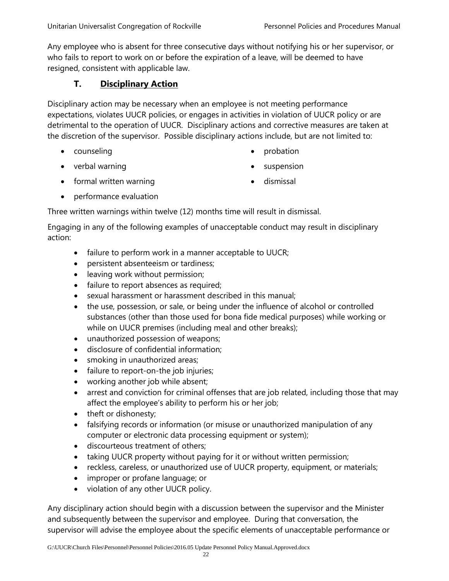Any employee who is absent for three consecutive days without notifying his or her supervisor, or who fails to report to work on or before the expiration of a leave, will be deemed to have resigned, consistent with applicable law.

## **T. Disciplinary Action**

<span id="page-21-0"></span>Disciplinary action may be necessary when an employee is not meeting performance expectations, violates UUCR policies, or engages in activities in violation of UUCR policy or are detrimental to the operation of UUCR. Disciplinary actions and corrective measures are taken at the discretion of the supervisor. Possible disciplinary actions include, but are not limited to:

• counseling

• probation

• verbal warning

suspension

• formal written warning

• dismissal

• performance evaluation

Three written warnings within twelve (12) months time will result in dismissal.

Engaging in any of the following examples of unacceptable conduct may result in disciplinary action:

- failure to perform work in a manner acceptable to UUCR;
- persistent absenteeism or tardiness;
- leaving work without permission;
- failure to report absences as required;
- sexual harassment or harassment described in this manual;
- the use, possession, or sale, or being under the influence of alcohol or controlled substances (other than those used for bona fide medical purposes) while working or while on UUCR premises (including meal and other breaks);
- unauthorized possession of weapons;
- disclosure of confidential information;
- smoking in unauthorized areas;
- failure to report-on-the job injuries;
- working another job while absent;
- arrest and conviction for criminal offenses that are job related, including those that may affect the employee's ability to perform his or her job;
- theft or dishonesty;
- falsifying records or information (or misuse or unauthorized manipulation of any computer or electronic data processing equipment or system);
- discourteous treatment of others;
- taking UUCR property without paying for it or without written permission;
- reckless, careless, or unauthorized use of UUCR property, equipment, or materials;
- improper or profane language; or
- violation of any other UUCR policy.

Any disciplinary action should begin with a discussion between the supervisor and the Minister and subsequently between the supervisor and employee. During that conversation, the supervisor will advise the employee about the specific elements of unacceptable performance or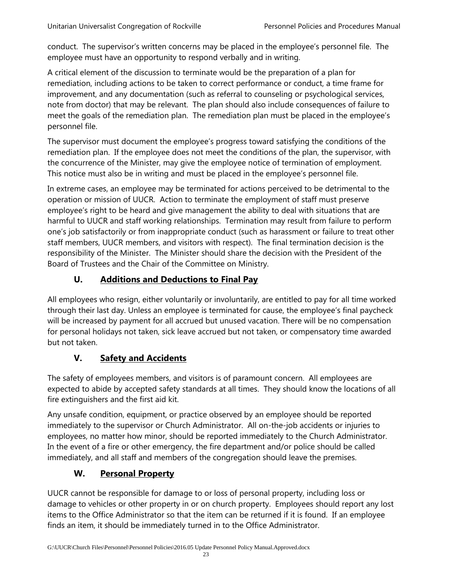conduct. The supervisor's written concerns may be placed in the employee's personnel file. The employee must have an opportunity to respond verbally and in writing.

A critical element of the discussion to terminate would be the preparation of a plan for remediation, including actions to be taken to correct performance or conduct, a time frame for improvement, and any documentation (such as referral to counseling or psychological services, note from doctor) that may be relevant. The plan should also include consequences of failure to meet the goals of the remediation plan. The remediation plan must be placed in the employee's personnel file.

The supervisor must document the employee's progress toward satisfying the conditions of the remediation plan. If the employee does not meet the conditions of the plan, the supervisor, with the concurrence of the Minister, may give the employee notice of termination of employment. This notice must also be in writing and must be placed in the employee's personnel file.

In extreme cases, an employee may be terminated for actions perceived to be detrimental to the operation or mission of UUCR. Action to terminate the employment of staff must preserve employee's right to be heard and give management the ability to deal with situations that are harmful to UUCR and staff working relationships. Termination may result from failure to perform one's job satisfactorily or from inappropriate conduct (such as harassment or failure to treat other staff members, UUCR members, and visitors with respect). The final termination decision is the responsibility of the Minister. The Minister should share the decision with the President of the Board of Trustees and the Chair of the Committee on Ministry.

# **U. Additions and Deductions to Final Pay**

<span id="page-22-0"></span>All employees who resign, either voluntarily or involuntarily, are entitled to pay for all time worked through their last day. Unless an employee is terminated for cause, the employee's final paycheck will be increased by payment for all accrued but unused vacation. There will be no compensation for personal holidays not taken, sick leave accrued but not taken, or compensatory time awarded but not taken.

# **V. Safety and Accidents**

<span id="page-22-1"></span>The safety of employees members, and visitors is of paramount concern. All employees are expected to abide by accepted safety standards at all times. They should know the locations of all fire extinguishers and the first aid kit.

Any unsafe condition, equipment, or practice observed by an employee should be reported immediately to the supervisor or Church Administrator. All on-the-job accidents or injuries to employees, no matter how minor, should be reported immediately to the Church Administrator. In the event of a fire or other emergency, the fire department and/or police should be called immediately, and all staff and members of the congregation should leave the premises.

# **W. Personal Property**

<span id="page-22-2"></span>UUCR cannot be responsible for damage to or loss of personal property, including loss or damage to vehicles or other property in or on church property. Employees should report any lost items to the Office Administrator so that the item can be returned if it is found. If an employee finds an item, it should be immediately turned in to the Office Administrator.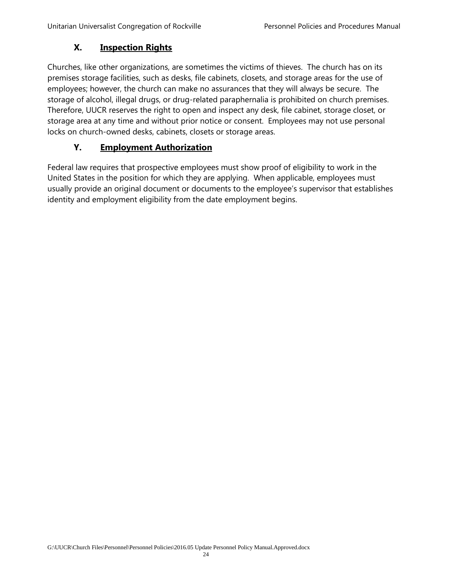### **X. Inspection Rights**

<span id="page-23-0"></span>Churches, like other organizations, are sometimes the victims of thieves. The church has on its premises storage facilities, such as desks, file cabinets, closets, and storage areas for the use of employees; however, the church can make no assurances that they will always be secure. The storage of alcohol, illegal drugs, or drug-related paraphernalia is prohibited on church premises. Therefore, UUCR reserves the right to open and inspect any desk, file cabinet, storage closet, or storage area at any time and without prior notice or consent. Employees may not use personal locks on church-owned desks, cabinets, closets or storage areas.

#### **Y. Employment Authorization**

<span id="page-23-1"></span>Federal law requires that prospective employees must show proof of eligibility to work in the United States in the position for which they are applying. When applicable, employees must usually provide an original document or documents to the employee's supervisor that establishes identity and employment eligibility from the date employment begins.